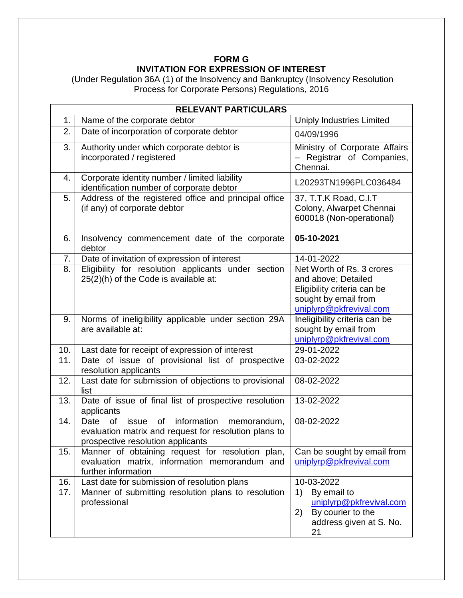## **FORM G INVITATION FOR EXPRESSION OF INTEREST**

(Under Regulation 36A (1) of the Insolvency and Bankruptcy (Insolvency Resolution Process for Corporate Persons) Regulations, 2016

| <b>RELEVANT PARTICULARS</b> |                                                                                                                                                                     |                                                                                                                                    |
|-----------------------------|---------------------------------------------------------------------------------------------------------------------------------------------------------------------|------------------------------------------------------------------------------------------------------------------------------------|
| 1.                          | Name of the corporate debtor                                                                                                                                        | <b>Uniply Industries Limited</b>                                                                                                   |
| 2.                          | Date of incorporation of corporate debtor                                                                                                                           | 04/09/1996                                                                                                                         |
| 3.                          | Authority under which corporate debtor is<br>incorporated / registered                                                                                              | Ministry of Corporate Affairs<br>- Registrar of Companies,<br>Chennai.                                                             |
| 4.                          | Corporate identity number / limited liability<br>identification number of corporate debtor                                                                          | L20293TN1996PLC036484                                                                                                              |
| 5.                          | Address of the registered office and principal office<br>(if any) of corporate debtor                                                                               | 37, T.T.K Road, C.I.T<br>Colony, Alwarpet Chennai<br>600018 (Non-operational)                                                      |
| 6.                          | Insolvency commencement date of the corporate<br>debtor                                                                                                             | 05-10-2021                                                                                                                         |
| 7.                          | Date of invitation of expression of interest                                                                                                                        | 14-01-2022                                                                                                                         |
| 8.                          | Eligibility for resolution applicants under section<br>25(2)(h) of the Code is available at:                                                                        | Net Worth of Rs. 3 crores<br>and above; Detailed<br>Eligibility criteria can be<br>sought by email from<br>uniplyrp@pkfrevival.com |
| 9.                          | Norms of ineligibility applicable under section 29A<br>are available at:                                                                                            | Ineligibility criteria can be<br>sought by email from<br>uniplyrp@pkfrevival.com                                                   |
| 10.                         | Last date for receipt of expression of interest                                                                                                                     | 29-01-2022                                                                                                                         |
| 11.                         | Date of issue of provisional list of prospective<br>resolution applicants                                                                                           | 03-02-2022                                                                                                                         |
| 12.                         | Last date for submission of objections to provisional<br>list                                                                                                       | 08-02-2022                                                                                                                         |
| 13.                         | Date of issue of final list of prospective resolution<br>applicants                                                                                                 | 13-02-2022                                                                                                                         |
| 14.                         | information<br><b>of</b><br><b>of</b><br>Date<br>memorandum,<br>issue<br>evaluation matrix and request for resolution plans to<br>prospective resolution applicants | 08-02-2022                                                                                                                         |
| 15.                         | Manner of obtaining request for resolution plan,<br>evaluation matrix, information memorandum and<br>further information                                            | Can be sought by email from<br>uniplyrp@pkfrevival.com                                                                             |
| 16.                         | Last date for submission of resolution plans                                                                                                                        | 10-03-2022                                                                                                                         |
| 17.                         | Manner of submitting resolution plans to resolution<br>professional                                                                                                 | By email to<br>1)<br>uniplyrp@pkfrevival.com<br>By courier to the<br>2)<br>address given at S. No.<br>21                           |